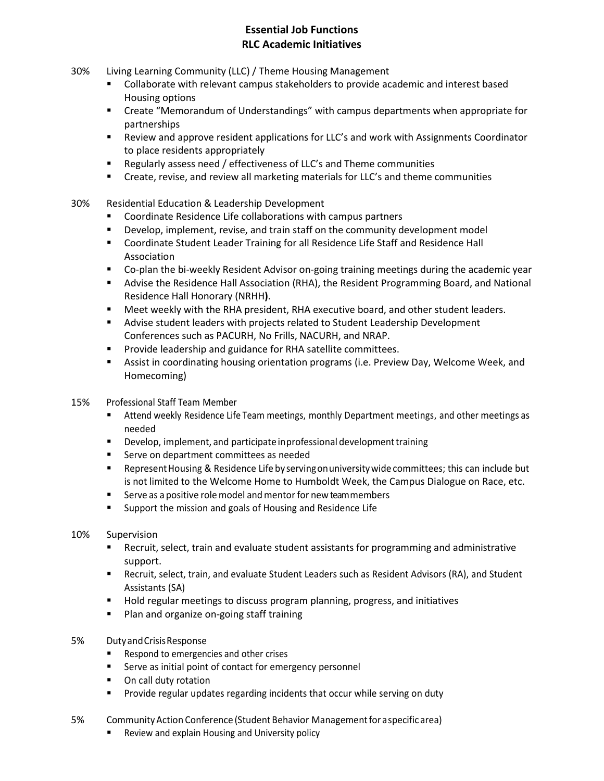## **Essential Job Functions RLC Academic Initiatives**

- 30% Living Learning Community (LLC) / Theme Housing Management
	- **Collaborate with relevant campus stakeholders to provide academic and interest based** Housing options
	- Create "Memorandum of Understandings" with campus departments when appropriate for partnerships
	- Review and approve resident applications for LLC's and work with Assignments Coordinator to place residents appropriately
	- Regularly assess need / effectiveness of LLC's and Theme communities
	- Create, revise, and review all marketing materials for LLC's and theme communities
- 30% Residential Education & Leadership Development
	- **EXECOORDINATE:** Coordinate Residence Life collaborations with campus partners
	- **•** Develop, implement, revise, and train staff on the community development model
	- **E** Coordinate Student Leader Training for all Residence Life Staff and Residence Hall Association
	- Co-plan the bi-weekly Resident Advisor on-going training meetings during the academic year
	- Advise the Residence Hall Association (RHA), the Resident Programming Board, and National Residence Hall Honorary (NRHH**)**.
	- Meet weekly with the RHA president, RHA executive board, and other student leaders.
	- Advise student leaders with projects related to Student Leadership Development Conferences such as PACURH, No Frills, NACURH, and NRAP.
	- **Provide leadership and guidance for RHA satellite committees.**
	- Assist in coordinating housing orientation programs (i.e. Preview Day, Welcome Week, and Homecoming)
- 15% Professional Staff Team Member
	- Attend weekly Residence Life Team meetings, monthly Department meetings, and other meetings as needed
	- **Develop, implement, and participate inprofessional development training**
	- **Serve on department committees as needed**
	- **EXECT:** Represent Housing & Residence Life by serving on university wide committees; this can include but is not limited to the Welcome Home to Humboldt Week, the Campus Dialogue on Race, etc.
	- Serve as a positive role model and mentor for new team members
	- **EXECT** Support the mission and goals of Housing and Residence Life
- 10% Supervision
	- Recruit, select, train and evaluate student assistants for programming and administrative support.
	- Recruit, select, train, and evaluate Student Leaders such as Resident Advisors (RA), and Student Assistants (SA)
	- **Hold regular meetings to discuss program planning, progress, and initiatives**
	- **Plan and organize on-going staff training**
- 5% DutyandCrisisResponse
	- Respond to emergencies and other crises
	- **EXECT** Serve as initial point of contact for emergency personnel
	- On call duty rotation
	- **Provide regular updates regarding incidents that occur while serving on duty**
- 5% CommunityAction Conference (Student Behavior Managementfor aspecific area)
	- Review and explain Housing and University policy